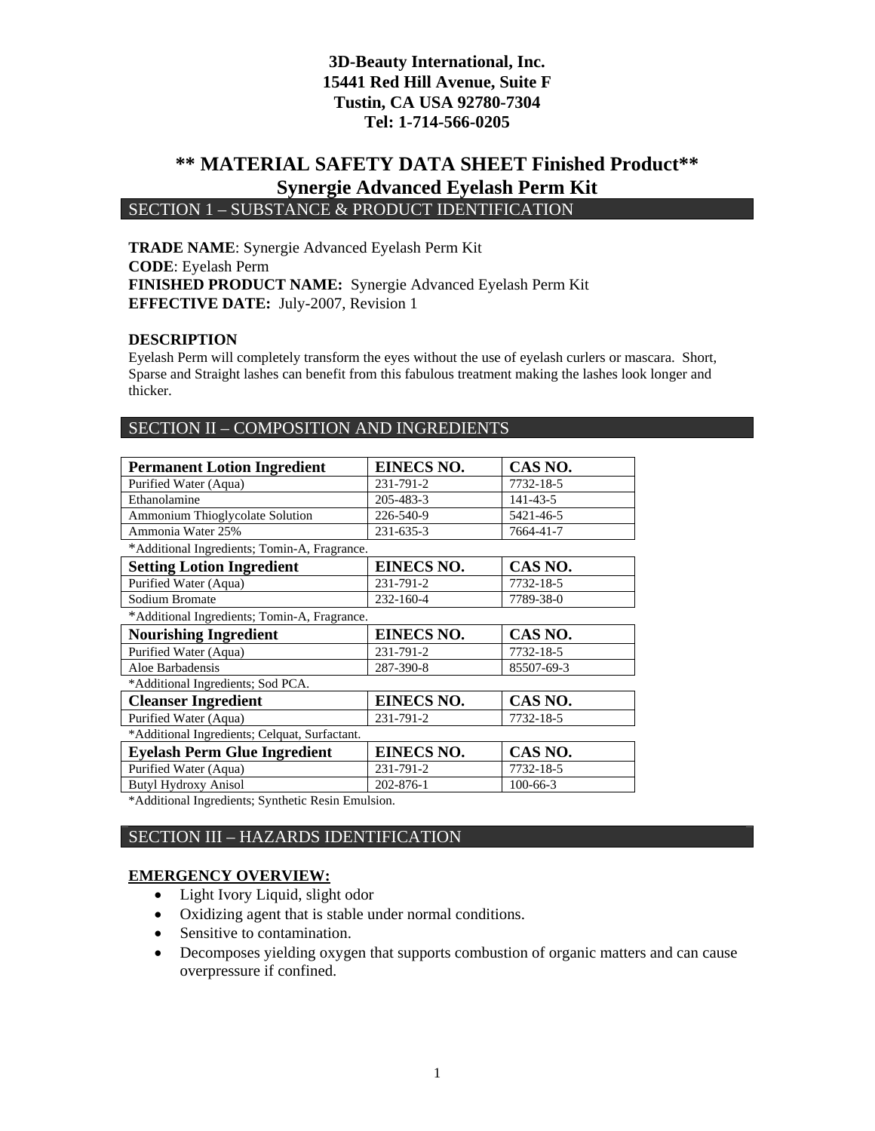### **\*\* MATERIAL SAFETY DATA SHEET Finished Product\*\* Synergie Advanced Eyelash Perm Kit**  SECTION 1 – SUBSTANCE & PRODUCT IDENTIFICATION

**TRADE NAME**: Synergie Advanced Eyelash Perm Kit **CODE**: Eyelash Perm **FINISHED PRODUCT NAME:** Synergie Advanced Eyelash Perm Kit **EFFECTIVE DATE:** July-2007, Revision 1

#### **DESCRIPTION**

Eyelash Perm will completely transform the eyes without the use of eyelash curlers or mascara. Short, Sparse and Straight lashes can benefit from this fabulous treatment making the lashes look longer and thicker.

### SECTION II – COMPOSITION AND INGREDIENTS

| <b>Permanent Lotion Ingredient</b>            | <b>EINECS NO.</b> | CAS NO.        |  |
|-----------------------------------------------|-------------------|----------------|--|
| Purified Water (Aqua)                         | 231-791-2         | 7732-18-5      |  |
| Ethanolamine                                  | 205-483-3         | $141 - 43 - 5$ |  |
| Ammonium Thioglycolate Solution               | 226-540-9         | 5421-46-5      |  |
| Ammonia Water 25%                             | 231-635-3         | 7664-41-7      |  |
| *Additional Ingredients; Tomin-A, Fragrance.  |                   |                |  |
| <b>Setting Lotion Ingredient</b>              | <b>EINECS NO.</b> | CAS NO.        |  |
| Purified Water (Aqua)                         | 231-791-2         | 7732-18-5      |  |
| Sodium Bromate                                | 232-160-4         | 7789-38-0      |  |
| *Additional Ingredients; Tomin-A, Fragrance.  |                   |                |  |
| <b>Nourishing Ingredient</b>                  | <b>EINECS NO.</b> | CAS NO.        |  |
| Purified Water (Aqua)                         | 231-791-2         | 7732-18-5      |  |
| Aloe Barbadensis                              | 287-390-8         | 85507-69-3     |  |
| *Additional Ingredients; Sod PCA.             |                   |                |  |
| <b>Cleanser Ingredient</b>                    | <b>EINECS NO.</b> | CAS NO.        |  |
| Purified Water (Aqua)                         | 231-791-2         | 7732-18-5      |  |
| *Additional Ingredients; Celquat, Surfactant. |                   |                |  |
| <b>Eyelash Perm Glue Ingredient</b>           | <b>EINECS NO.</b> | CAS NO.        |  |
| Purified Water (Aqua)                         | 231-791-2         | 7732-18-5      |  |
| <b>Butyl Hydroxy Anisol</b>                   | 202-876-1         | $100 - 66 - 3$ |  |

\*Additional Ingredients; Synthetic Resin Emulsion.

### SECTION III – HAZARDS IDENTIFICATION

#### **EMERGENCY OVERVIEW:**

- Light Ivory Liquid, slight odor
- Oxidizing agent that is stable under normal conditions.
- Sensitive to contamination.
- Decomposes yielding oxygen that supports combustion of organic matters and can cause overpressure if confined.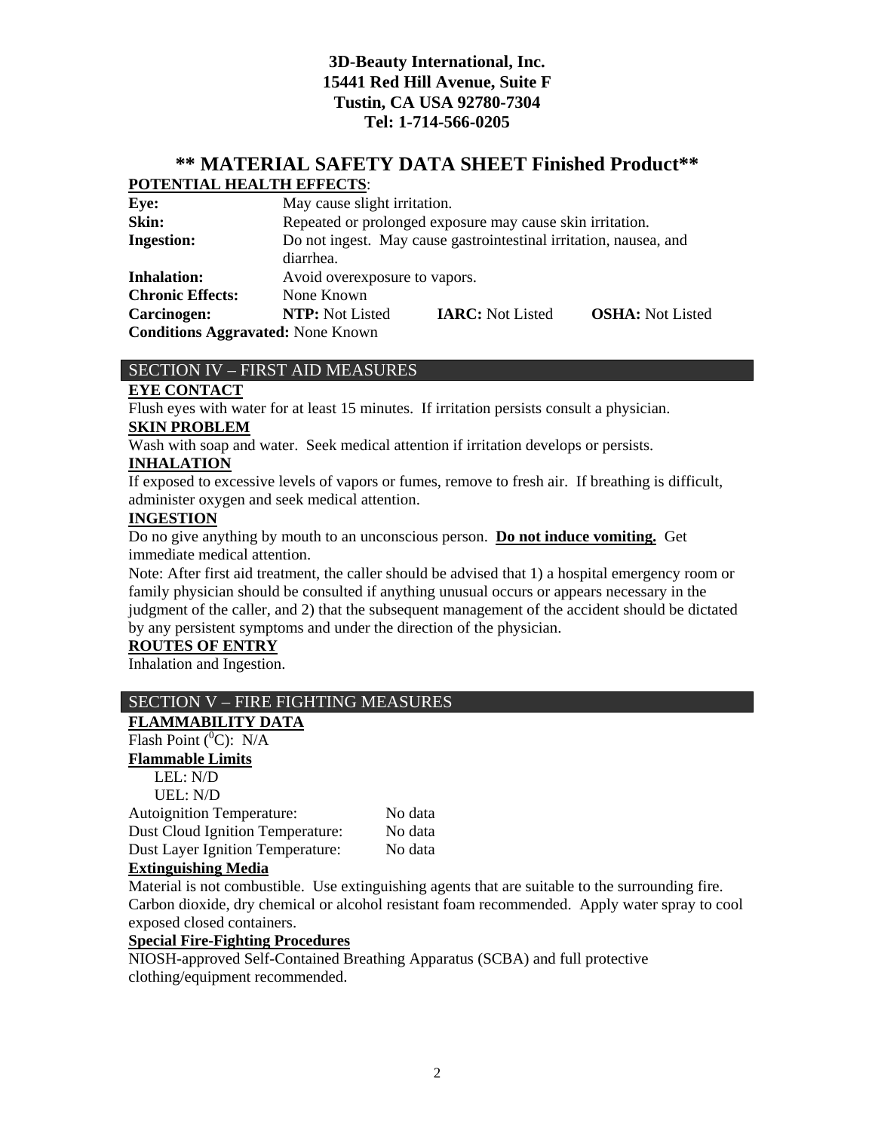### **\*\* MATERIAL SAFETY DATA SHEET Finished Product\*\* POTENTIAL HEALTH EFFECTS**:

| Eye:                                     |                                                                   | May cause slight irritation.                              |                         |  |
|------------------------------------------|-------------------------------------------------------------------|-----------------------------------------------------------|-------------------------|--|
| Skin:                                    |                                                                   | Repeated or prolonged exposure may cause skin irritation. |                         |  |
| <b>Ingestion:</b>                        | Do not ingest. May cause gastrointestinal irritation, nausea, and |                                                           |                         |  |
|                                          | diarrhea.                                                         |                                                           |                         |  |
| <b>Inhalation:</b>                       | Avoid overexposure to vapors.                                     |                                                           |                         |  |
| <b>Chronic Effects:</b>                  | None Known                                                        |                                                           |                         |  |
| Carcinogen:                              | <b>NTP:</b> Not Listed                                            | <b>IARC:</b> Not Listed                                   | <b>OSHA:</b> Not Listed |  |
| <b>Conditions Aggravated: None Known</b> |                                                                   |                                                           |                         |  |

### SECTION IV – FIRST AID MEASURES

### **EYE CONTACT**

Flush eyes with water for at least 15 minutes. If irritation persists consult a physician.

### **SKIN PROBLEM**

Wash with soap and water. Seek medical attention if irritation develops or persists.

### **INHALATION**

If exposed to excessive levels of vapors or fumes, remove to fresh air. If breathing is difficult, administer oxygen and seek medical attention.

### **INGESTION**

Do no give anything by mouth to an unconscious person. **Do not induce vomiting.** Get immediate medical attention.

Note: After first aid treatment, the caller should be advised that 1) a hospital emergency room or family physician should be consulted if anything unusual occurs or appears necessary in the judgment of the caller, and 2) that the subsequent management of the accident should be dictated by any persistent symptoms and under the direction of the physician.

### **ROUTES OF ENTRY**

Inhalation and Ingestion.

### SECTION V – FIRE FIGHTING MEASURES

### **FLAMMABILITY DATA**

# Flash Point  $(^0C)$ : N/A

**Flammable Limits** LEL: N/D UEL: N/D

| <b>Autoignition Temperature:</b>        | No data |
|-----------------------------------------|---------|
| <b>Dust Cloud Ignition Temperature:</b> | No data |
| <b>Dust Layer Ignition Temperature:</b> | No data |
| .                                       |         |

### **Extinguishing Media**

Material is not combustible. Use extinguishing agents that are suitable to the surrounding fire. Carbon dioxide, dry chemical or alcohol resistant foam recommended. Apply water spray to cool exposed closed containers.

### **Special Fire-Fighting Procedures**

NIOSH-approved Self-Contained Breathing Apparatus (SCBA) and full protective clothing/equipment recommended.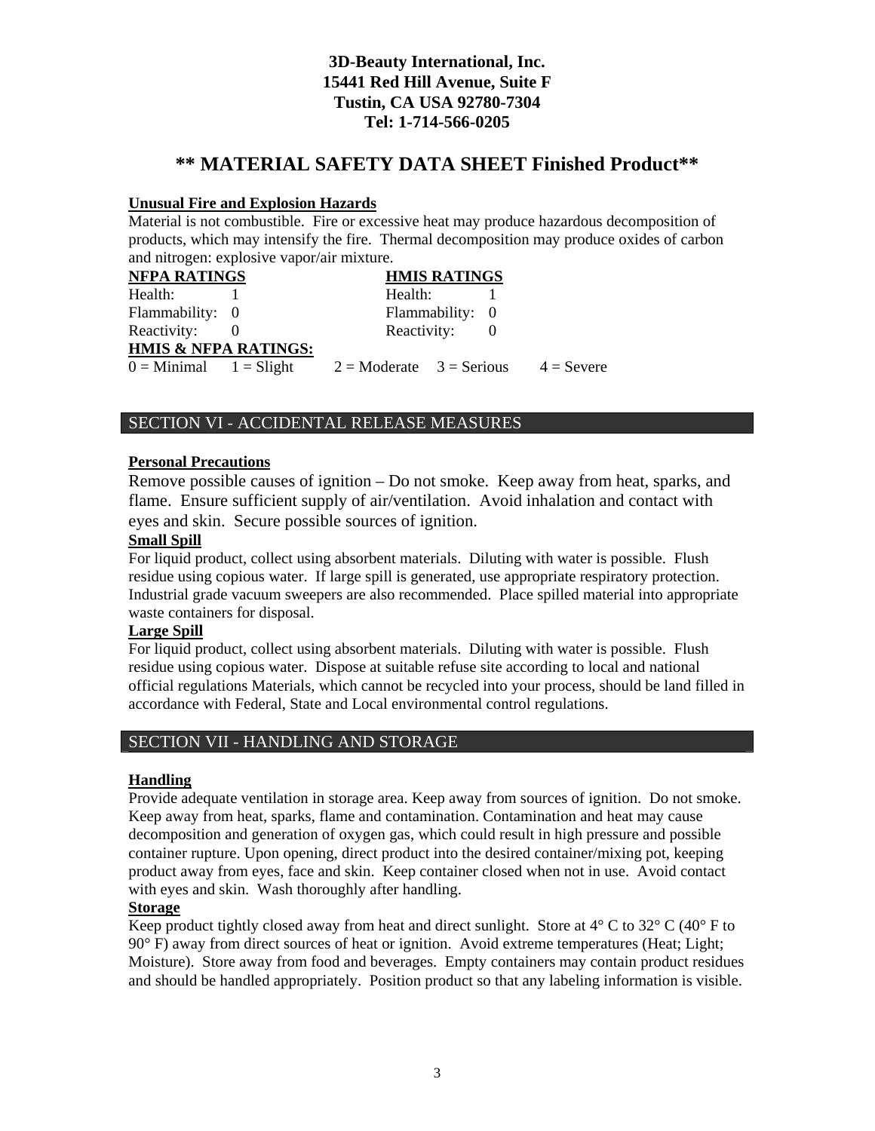### **\*\* MATERIAL SAFETY DATA SHEET Finished Product\*\***

#### **Unusual Fire and Explosion Hazards**

Material is not combustible. Fire or excessive heat may produce hazardous decomposition of products, which may intensify the fire. Thermal decomposition may produce oxides of carbon and nitrogen: explosive vapor/air mixture.

| <b>NFPA RATINGS</b>             |                                                              | <b>HMIS RATINGS</b> |  |
|---------------------------------|--------------------------------------------------------------|---------------------|--|
| Health:                         | Health:                                                      |                     |  |
| Flammability: 0                 |                                                              | Flammability: 0     |  |
| Reactivity:                     | Reactivity:                                                  |                     |  |
| <b>HMIS &amp; NFPA RATINGS:</b> |                                                              |                     |  |
| $0 =$ Minimal $1 =$ Slight      | $2 = \text{Modern}$ $3 = \text{Serious}$ $4 = \text{Server}$ |                     |  |

### SECTION VI - ACCIDENTAL RELEASE MEASURES

#### **Personal Precautions**

Remove possible causes of ignition – Do not smoke. Keep away from heat, sparks, and flame. Ensure sufficient supply of air/ventilation. Avoid inhalation and contact with eyes and skin. Secure possible sources of ignition.

#### **Small Spill**

For liquid product, collect using absorbent materials. Diluting with water is possible. Flush residue using copious water. If large spill is generated, use appropriate respiratory protection. Industrial grade vacuum sweepers are also recommended. Place spilled material into appropriate waste containers for disposal.

#### **Large Spill**

For liquid product, collect using absorbent materials. Diluting with water is possible. Flush residue using copious water. Dispose at suitable refuse site according to local and national official regulations Materials, which cannot be recycled into your process, should be land filled in accordance with Federal, State and Local environmental control regulations.

### SECTION VII - HANDLING AND STORAGE

#### **Handling**

Provide adequate ventilation in storage area. Keep away from sources of ignition. Do not smoke. Keep away from heat, sparks, flame and contamination. Contamination and heat may cause decomposition and generation of oxygen gas, which could result in high pressure and possible container rupture. Upon opening, direct product into the desired container/mixing pot, keeping product away from eyes, face and skin. Keep container closed when not in use. Avoid contact with eyes and skin. Wash thoroughly after handling.

### **Storage**

Keep product tightly closed away from heat and direct sunlight. Store at  $4^{\circ}$  C to  $32^{\circ}$  C (40° F to 90° F) away from direct sources of heat or ignition. Avoid extreme temperatures (Heat; Light; Moisture). Store away from food and beverages. Empty containers may contain product residues and should be handled appropriately. Position product so that any labeling information is visible.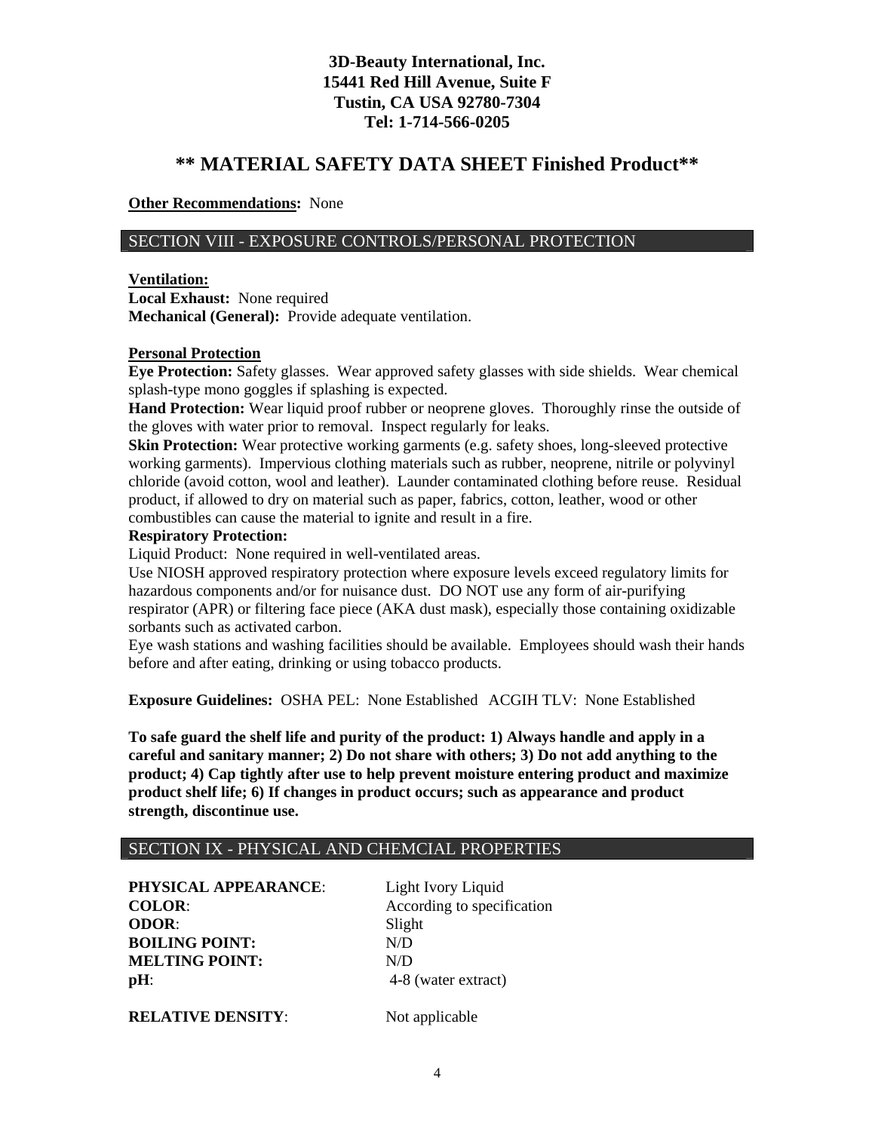### **\*\* MATERIAL SAFETY DATA SHEET Finished Product\*\***

**Other Recommendations:** None

### SECTION VIII - EXPOSURE CONTROLS/PERSONAL PROTECTION

#### **Ventilation:**

**Local Exhaust:** None required **Mechanical (General):** Provide adequate ventilation.

#### **Personal Protection**

**Eye Protection:** Safety glasses. Wear approved safety glasses with side shields. Wear chemical splash-type mono goggles if splashing is expected.

**Hand Protection:** Wear liquid proof rubber or neoprene gloves. Thoroughly rinse the outside of the gloves with water prior to removal. Inspect regularly for leaks.

**Skin Protection:** Wear protective working garments (e.g. safety shoes, long-sleeved protective working garments). Impervious clothing materials such as rubber, neoprene, nitrile or polyvinyl chloride (avoid cotton, wool and leather). Launder contaminated clothing before reuse. Residual product, if allowed to dry on material such as paper, fabrics, cotton, leather, wood or other combustibles can cause the material to ignite and result in a fire.

#### **Respiratory Protection:**

Liquid Product: None required in well-ventilated areas.

Use NIOSH approved respiratory protection where exposure levels exceed regulatory limits for hazardous components and/or for nuisance dust. DO NOT use any form of air-purifying respirator (APR) or filtering face piece (AKA dust mask), especially those containing oxidizable sorbants such as activated carbon.

Eye wash stations and washing facilities should be available. Employees should wash their hands before and after eating, drinking or using tobacco products.

**Exposure Guidelines:** OSHA PEL: None Established ACGIH TLV: None Established

**To safe guard the shelf life and purity of the product: 1) Always handle and apply in a careful and sanitary manner; 2) Do not share with others; 3) Do not add anything to the product; 4) Cap tightly after use to help prevent moisture entering product and maximize product shelf life; 6) If changes in product occurs; such as appearance and product strength, discontinue use.** 

#### SECTION IX - PHYSICAL AND CHEMCIAL PROPERTIES

PHYSICAL APPEARANCE: Light Ivory Liquid **COLOR:** According to specification **ODOR**: Slight **BOILING POINT:** N/D **MELTING POINT:** N/D **pH**: 4-8 (water extract)

**RELATIVE DENSITY:** Not applicable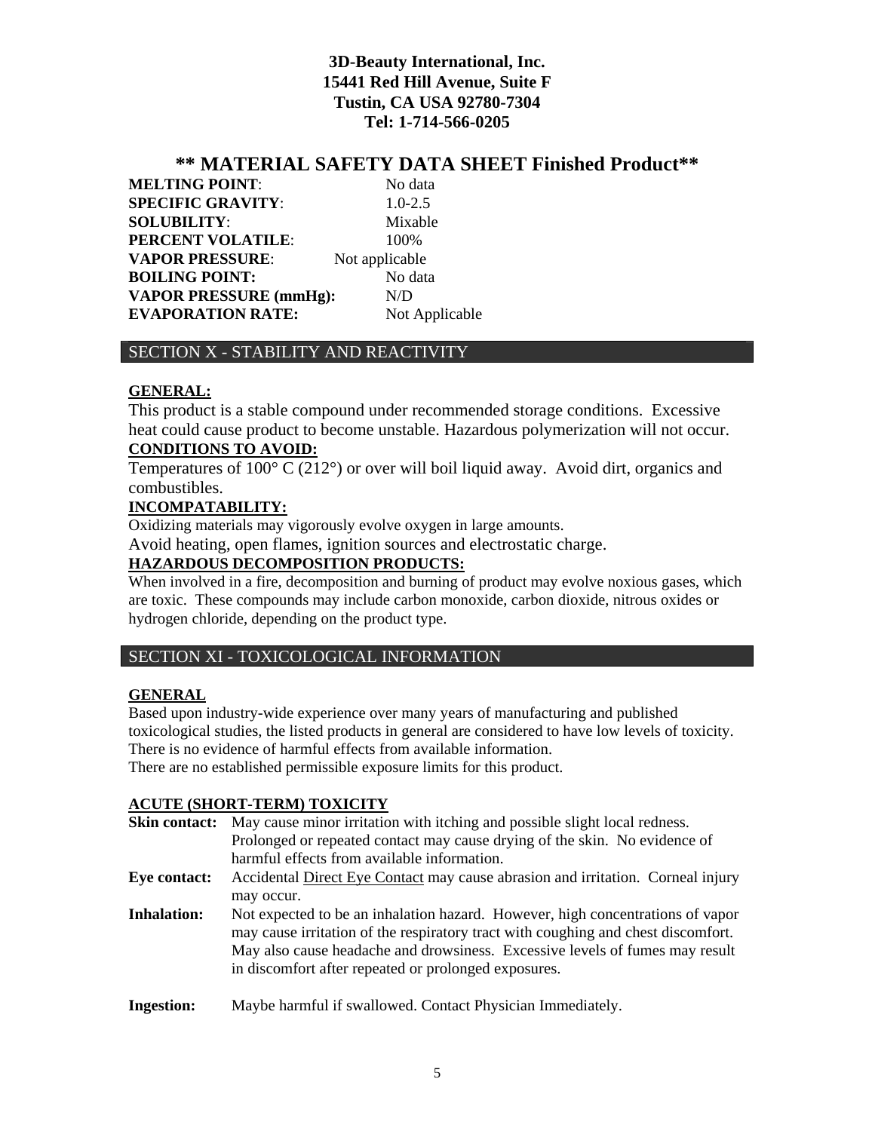### **\*\* MATERIAL SAFETY DATA SHEET Finished Product\*\***

**MELTING POINT:** No data **SPECIFIC GRAVITY:** 1.0-2.5 **SOLUBILITY**: Mixable **PERCENT VOLATILE:** 100% **VAPOR PRESSURE:** Not applicable **BOILING POINT:** No data **VAPOR PRESSURE (mmHg):** N/D **EVAPORATION RATE:** Not Applicable

### SECTION X - STABILITY AND REACTIVITY

#### **GENERAL:**

This product is a stable compound under recommended storage conditions. Excessive heat could cause product to become unstable. Hazardous polymerization will not occur. **CONDITIONS TO AVOID:**

Temperatures of  $100^{\circ}$  C (212°) or over will boil liquid away. Avoid dirt, organics and combustibles.

### **INCOMPATABILITY:**

Oxidizing materials may vigorously evolve oxygen in large amounts.

Avoid heating, open flames, ignition sources and electrostatic charge.

### **HAZARDOUS DECOMPOSITION PRODUCTS:**

When involved in a fire, decomposition and burning of product may evolve noxious gases, which are toxic. These compounds may include carbon monoxide, carbon dioxide, nitrous oxides or hydrogen chloride, depending on the product type.

### SECTION XI - TOXICOLOGICAL INFORMATION

### **GENERAL**

Based upon industry-wide experience over many years of manufacturing and published toxicological studies, the listed products in general are considered to have low levels of toxicity. There is no evidence of harmful effects from available information. There are no established permissible exposure limits for this product.

## **ACUTE (SHORT-TERM) TOXICITY**

|                    | $110011$ (bilonic relative) rounders<br><b>Skin contact:</b> May cause minor irritation with itching and possible slight local redness.                                                                                                             |
|--------------------|-----------------------------------------------------------------------------------------------------------------------------------------------------------------------------------------------------------------------------------------------------|
|                    | Prolonged or repeated contact may cause drying of the skin. No evidence of                                                                                                                                                                          |
|                    | harmful effects from available information.                                                                                                                                                                                                         |
| Eye contact:       | Accidental Direct Eye Contact may cause abrasion and irritation. Corneal injury                                                                                                                                                                     |
|                    | may occur.                                                                                                                                                                                                                                          |
| <b>Inhalation:</b> | Not expected to be an inhalation hazard. However, high concentrations of vapor<br>may cause irritation of the respiratory tract with coughing and chest discomfort.<br>May also cause headache and drowsiness. Excessive levels of fumes may result |
|                    | in discomfort after repeated or prolonged exposures.                                                                                                                                                                                                |
| <b>Ingestion:</b>  | Maybe harmful if swallowed. Contact Physician Immediately.                                                                                                                                                                                          |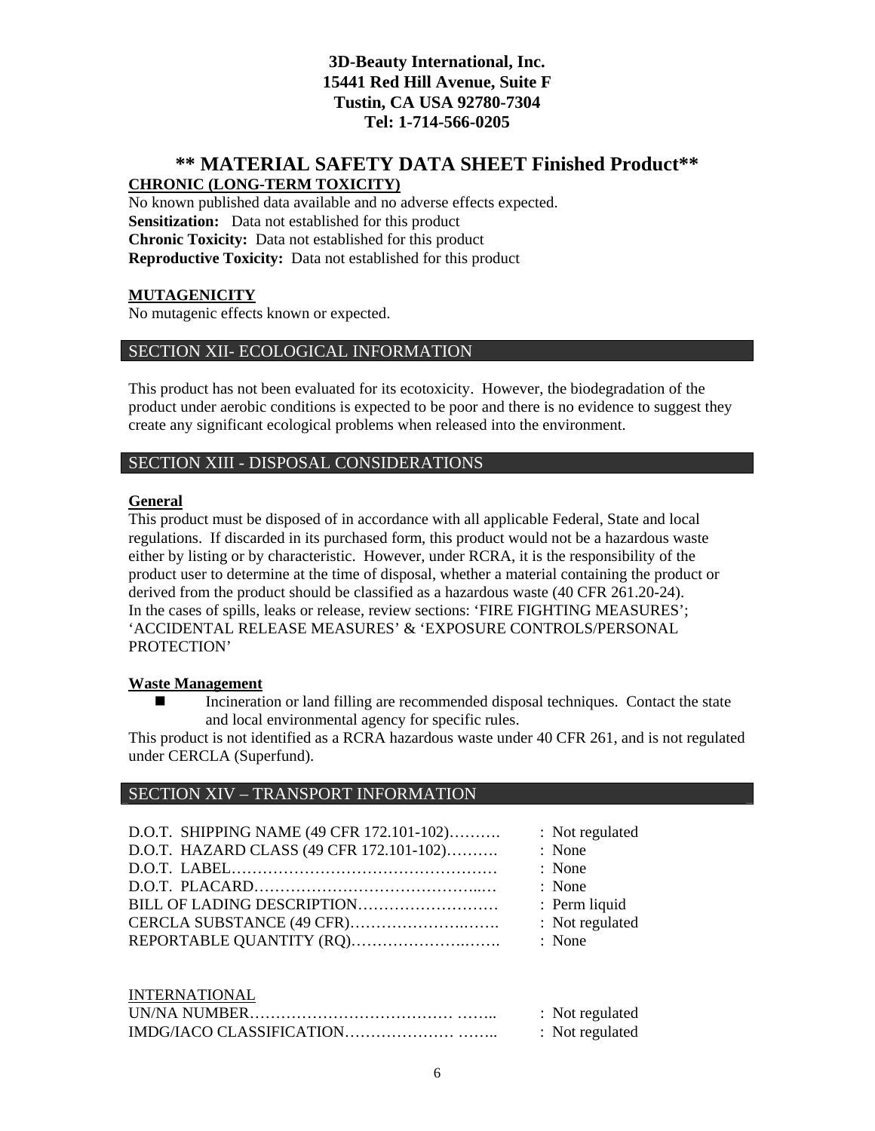### **\*\* MATERIAL SAFETY DATA SHEET Finished Product\*\* CHRONIC (LONG-TERM TOXICITY)**

No known published data available and no adverse effects expected. **Sensitization:** Data not established for this product **Chronic Toxicity:** Data not established for this product **Reproductive Toxicity:** Data not established for this product

### **MUTAGENICITY**

No mutagenic effects known or expected.

### SECTION XII- ECOLOGICAL INFORMATION

This product has not been evaluated for its ecotoxicity. However, the biodegradation of the product under aerobic conditions is expected to be poor and there is no evidence to suggest they create any significant ecological problems when released into the environment.

### SECTION XIII - DISPOSAL CONSIDERATIONS

#### **General**

This product must be disposed of in accordance with all applicable Federal, State and local regulations. If discarded in its purchased form, this product would not be a hazardous waste either by listing or by characteristic. However, under RCRA, it is the responsibility of the product user to determine at the time of disposal, whether a material containing the product or derived from the product should be classified as a hazardous waste (40 CFR 261.20-24). In the cases of spills, leaks or release, review sections: 'FIRE FIGHTING MEASURES'; 'ACCIDENTAL RELEASE MEASURES' & 'EXPOSURE CONTROLS/PERSONAL PROTECTION'

#### **Waste Management**

 Incineration or land filling are recommended disposal techniques. Contact the state and local environmental agency for specific rules.

This product is not identified as a RCRA hazardous waste under 40 CFR 261, and is not regulated under CERCLA (Superfund).

### SECTION XIV – TRANSPORT INFORMATION

| D.O.T. SHIPPING NAME (49 CFR 172.101-102) | : Not regulated |
|-------------------------------------------|-----------------|
| D.O.T. HAZARD CLASS (49 CFR 172.101-102)  | : None          |
|                                           | : None          |
|                                           | : None          |
|                                           | : Perm liquid   |
|                                           | : Not regulated |
|                                           | : None          |
| <b>INTERNATIONAL</b>                      |                 |

|  | : Not regulated |
|--|-----------------|
|  | : Not regulated |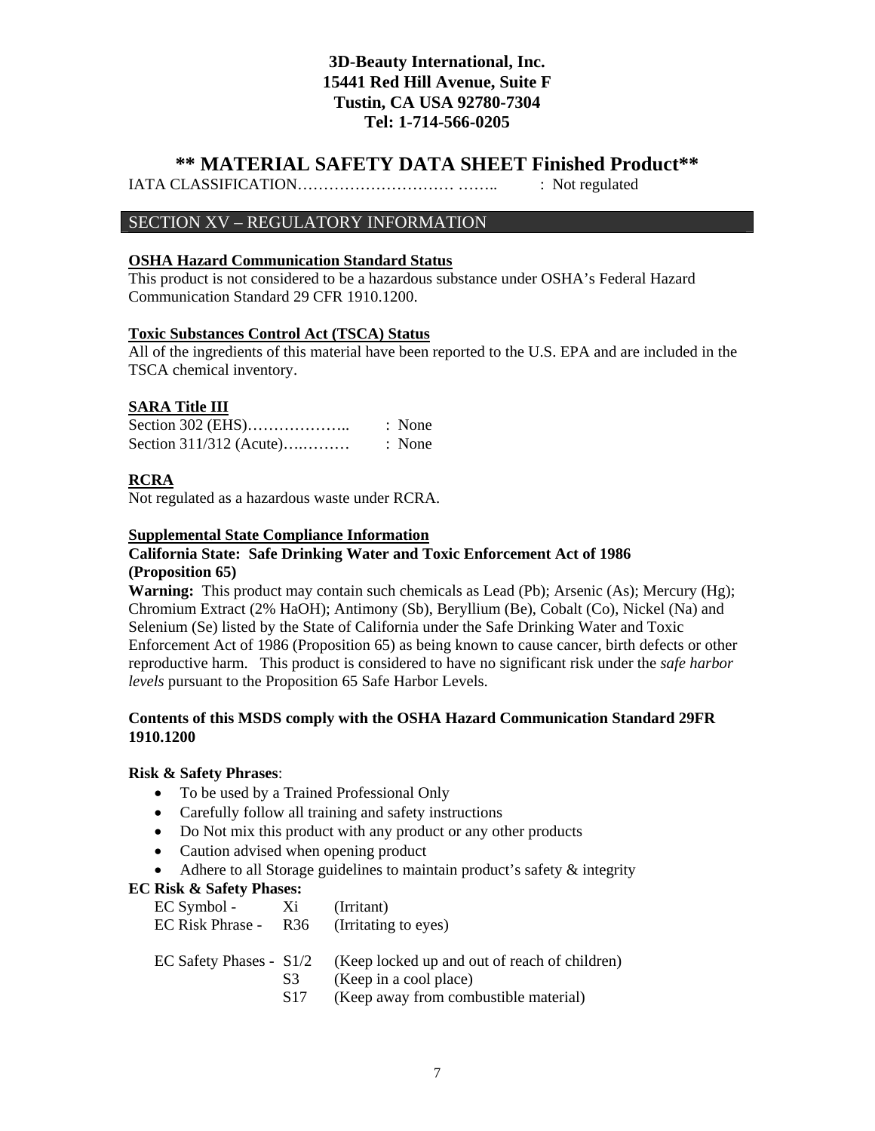### **\*\* MATERIAL SAFETY DATA SHEET Finished Product\*\***

IATA CLASSIFICATION………………………… …….. : Not regulated

### SECTION XV – REGULATORY INFORMATION

#### **OSHA Hazard Communication Standard Status**

This product is not considered to be a hazardous substance under OSHA's Federal Hazard Communication Standard 29 CFR 1910.1200.

#### **Toxic Substances Control Act (TSCA) Status**

All of the ingredients of this material have been reported to the U.S. EPA and are included in the TSCA chemical inventory.

#### **SARA Title III**

|                           | : None |
|---------------------------|--------|
| Section $311/312$ (Acute) | : None |

#### **RCRA**

Not regulated as a hazardous waste under RCRA.

#### **Supplemental State Compliance Information**

### **California State: Safe Drinking Water and Toxic Enforcement Act of 1986 (Proposition 65)**

**Warning:** This product may contain such chemicals as Lead (Pb); Arsenic (As); Mercury (Hg); Chromium Extract (2% HaOH); Antimony (Sb), Beryllium (Be), Cobalt (Co), Nickel (Na) and Selenium (Se) listed by the State of California under the Safe Drinking Water and Toxic Enforcement Act of 1986 (Proposition 65) as being known to cause cancer, birth defects or other reproductive harm. This product is considered to have no significant risk under the *safe harbor levels* pursuant to the Proposition 65 Safe Harbor Levels.

#### **Contents of this MSDS comply with the OSHA Hazard Communication Standard 29FR 1910.1200**

#### **Risk & Safety Phrases**:

- To be used by a Trained Professional Only
- Carefully follow all training and safety instructions
- Do Not mix this product with any product or any other products
- Caution advised when opening product
- Adhere to all Storage guidelines to maintain product's safety  $\&$  integrity

#### **EC Risk & Safety Phases:**

| EC Symbol - Xi<br>EC Risk Phrase - R36 (Irritating to eyes) |                | (Irritant)                                                                                                                         |
|-------------------------------------------------------------|----------------|------------------------------------------------------------------------------------------------------------------------------------|
|                                                             | S <sub>3</sub> | EC Safety Phases - $S1/2$ (Keep locked up and out of reach of children)<br>(Keep in a cool place)<br>$(TZ - C - 1 - T1 - T1 - T1)$ |

S17 (Keep away from combustible material)